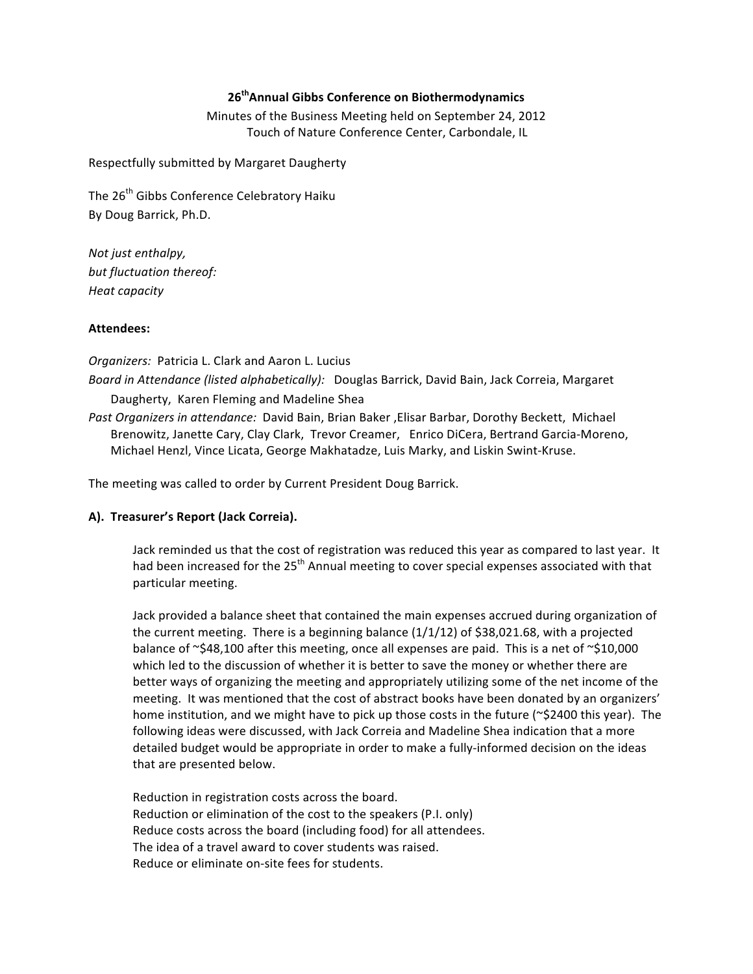### **26thAnnual\*Gibbs\*Conference\*on\*Biothermodynamics**

Minutes of the Business Meeting held on September 24, 2012 Touch of Nature Conference Center, Carbondale, IL

Respectfully submitted by Margaret Daugherty

The 26<sup>th</sup> Gibbs Conference Celebratory Haiku By Doug Barrick, Ph.D.

*Not just enthalpy,* but fluctuation thereof: *Heat!capacity!*

### Attendees:

*Organizers: Patricia L. Clark and Aaron L. Lucius Board in Attendance (listed alphabetically):* Douglas Barrick, David Bain, Jack Correia, Margaret Daugherty, Karen Fleming and Madeline Shea

Past Organizers in attendance: David Bain, Brian Baker , Elisar Barbar, Dorothy Beckett, Michael Brenowitz, Janette Cary, Clay Clark, Trevor Creamer, Enrico DiCera, Bertrand Garcia-Moreno, Michael Henzl, Vince Licata, George Makhatadze, Luis Marky, and Liskin Swint-Kruse.

The meeting was called to order by Current President Doug Barrick.

### A). Treasurer's Report (Jack Correia).

Jack reminded us that the cost of registration was reduced this year as compared to last year. It had been increased for the 25<sup>th</sup> Annual meeting to cover special expenses associated with that particular meeting.

Jack provided a balance sheet that contained the main expenses accrued during organization of the current meeting. There is a beginning balance  $(1/1/12)$  of \$38,021.68, with a projected balance of ~\$48,100 after this meeting, once all expenses are paid. This is a net of ~\$10,000 which led to the discussion of whether it is better to save the money or whether there are better ways of organizing the meeting and appropriately utilizing some of the net income of the meeting. It was mentioned that the cost of abstract books have been donated by an organizers' home institution, and we might have to pick up those costs in the future (~\$2400 this year). The following ideas were discussed, with Jack Correia and Madeline Shea indication that a more detailed budget would be appropriate in order to make a fully-informed decision on the ideas that are presented below.

Reduction in registration costs across the board. Reduction or elimination of the cost to the speakers (P.I. only) Reduce costs across the board (including food) for all attendees. The idea of a travel award to cover students was raised. Reduce or eliminate on-site fees for students.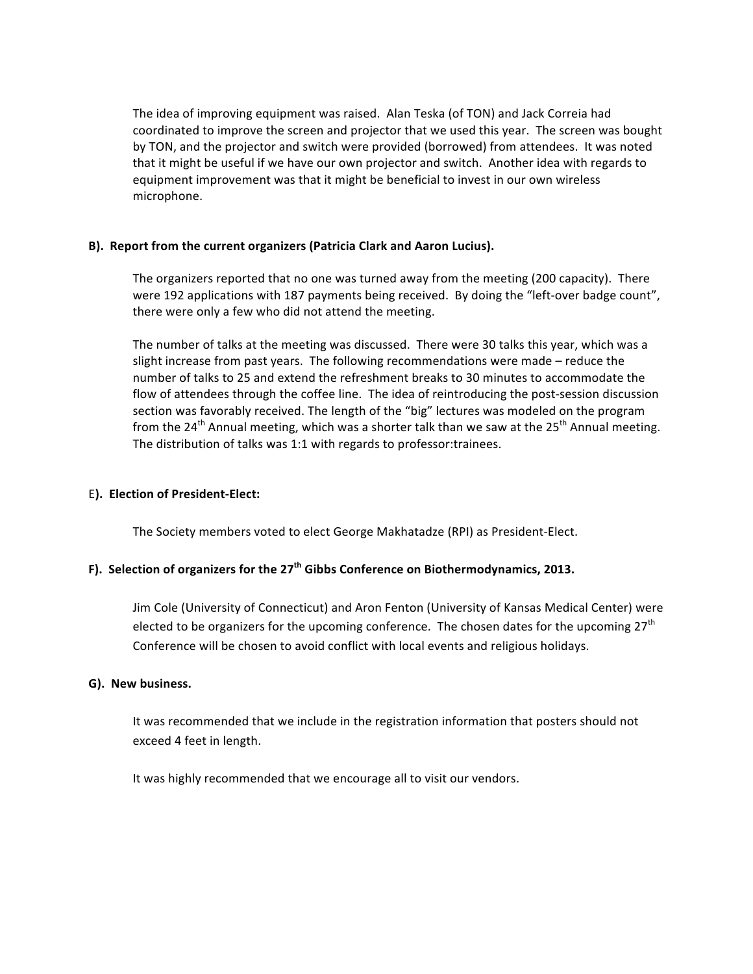The idea of improving equipment was raised. Alan Teska (of TON) and Jack Correia had coordinated to improve the screen and projector that we used this year. The screen was bought by TON, and the projector and switch were provided (borrowed) from attendees. It was noted that it might be useful if we have our own projector and switch. Another idea with regards to equipment improvement was that it might be beneficial to invest in our own wireless microphone.

#### **B). Report from the current organizers (Patricia Clark and Aaron Lucius).**

The organizers reported that no one was turned away from the meeting (200 capacity). There were 192 applications with 187 payments being received. By doing the "left-over badge count", there were only a few who did not attend the meeting.

The number of talks at the meeting was discussed. There were 30 talks this year, which was a slight increase from past years. The following recommendations were made – reduce the number of talks to 25 and extend the refreshment breaks to 30 minutes to accommodate the flow of attendees through the coffee line. The idea of reintroducing the post-session discussion section was favorably received. The length of the "big" lectures was modeled on the program from the 24<sup>th</sup> Annual meeting, which was a shorter talk than we saw at the 25<sup>th</sup> Annual meeting. The distribution of talks was 1:1 with regards to professor: trainees.

### E). Election of President-Elect:

The Society members voted to elect George Makhatadze (RPI) as President-Elect.

# F). Selection of organizers for the 27<sup>th</sup> Gibbs Conference on Biothermodynamics, 2013.

Jim Cole (University of Connecticut) and Aron Fenton (University of Kansas Medical Center) were elected to be organizers for the upcoming conference. The chosen dates for the upcoming 27<sup>th</sup> Conference will be chosen to avoid conflict with local events and religious holidays.

#### **G). New business.**

It was recommended that we include in the registration information that posters should not exceed 4 feet in length.

It was highly recommended that we encourage all to visit our vendors.